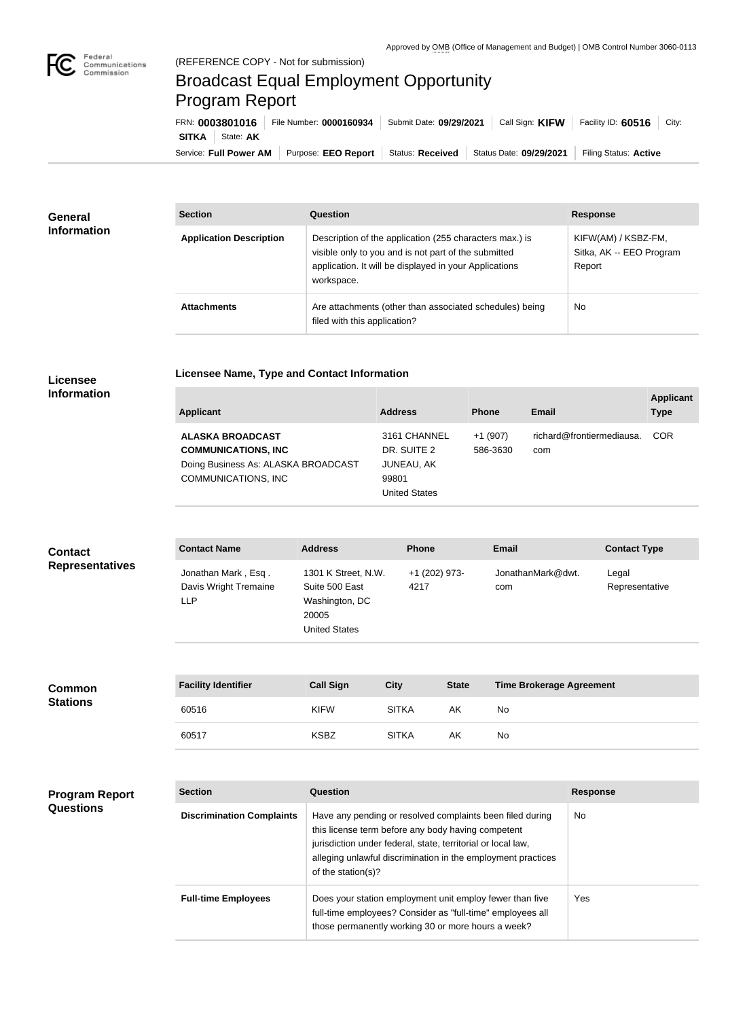

## Broadcast Equal Employment Opportunity Program Report

**Licensee Name, Type and Contact Information**

Service: Full Power AM | Purpose: EEO Report | Status: Received | Status Date: 09/29/2021 | Filing Status: Active **SITKA** State: **AK** FRN: **0003801016** File Number: **0000160934** Submit Date: **09/29/2021** Call Sign: **KIFW** Facility ID: 60516 City:

| <b>General</b><br><b>Information</b> | <b>Section</b>                 | Question                                                                                                                                                                                | <b>Response</b>                                           |  |
|--------------------------------------|--------------------------------|-----------------------------------------------------------------------------------------------------------------------------------------------------------------------------------------|-----------------------------------------------------------|--|
|                                      | <b>Application Description</b> | Description of the application (255 characters max.) is<br>visible only to you and is not part of the submitted<br>application. It will be displayed in your Applications<br>workspace. | KIFW(AM) / KSBZ-FM,<br>Sitka, AK -- EEO Program<br>Report |  |
|                                      | <b>Attachments</b>             | Are attachments (other than associated schedules) being<br>filed with this application?                                                                                                 | <b>No</b>                                                 |  |

## **Licensee Information**

**Stations**

| Applicant                           | <b>Address</b> | <b>Phone</b> | Email                     | <b>Applicant</b><br><b>Type</b> |
|-------------------------------------|----------------|--------------|---------------------------|---------------------------------|
| <b>ALASKA BROADCAST</b>             | 3161 CHANNEL   | $+1(907)$    | richard@frontiermediausa. | <b>COR</b>                      |
| <b>COMMUNICATIONS, INC</b>          | DR. SUITE 2    | 586-3630     | com                       |                                 |
| Doing Business As: ALASKA BROADCAST | JUNEAU, AK     |              |                           |                                 |
| COMMUNICATIONS, INC                 | 99801          |              |                           |                                 |

United States

| <b>Contact</b><br><b>Representatives</b><br><b>Common</b> | <b>Contact Name</b>                                        | <b>Address</b>                                                                           |                             | <b>Email</b>                    | <b>Contact Type</b>     |
|-----------------------------------------------------------|------------------------------------------------------------|------------------------------------------------------------------------------------------|-----------------------------|---------------------------------|-------------------------|
|                                                           | Jonathan Mark, Esq.<br>Davis Wright Tremaine<br><b>LLP</b> | 1301 K Street, N.W.<br>Suite 500 East<br>Washington, DC<br>20005<br><b>United States</b> | +1 (202) 973-<br>4217       | JonathanMark@dwt.<br>com        | Legal<br>Representative |
|                                                           | <b>Facility Identifier</b>                                 | <b>Call Sign</b>                                                                         | <b>City</b><br><b>State</b> | <b>Time Brokerage Agreement</b> |                         |

| <b>Facility Identifier</b> | <b>Call Sign</b> | City         | <b>State</b> | <b>Time Brokerage Agreement</b> |
|----------------------------|------------------|--------------|--------------|---------------------------------|
| 60516                      | <b>KIFW</b>      | <b>SITKA</b> | AΚ           | No                              |
| 60517                      | <b>KSBZ</b>      | <b>SITKA</b> | AΚ           | No                              |

| <b>Program Report</b><br><b>Questions</b> | <b>Section</b>                   | Question                                                                                                                                                                                                                                                              | <b>Response</b> |
|-------------------------------------------|----------------------------------|-----------------------------------------------------------------------------------------------------------------------------------------------------------------------------------------------------------------------------------------------------------------------|-----------------|
|                                           | <b>Discrimination Complaints</b> | Have any pending or resolved complaints been filed during<br>this license term before any body having competent<br>jurisdiction under federal, state, territorial or local law,<br>alleging unlawful discrimination in the employment practices<br>of the station(s)? | <b>No</b>       |
|                                           | <b>Full-time Employees</b>       | Does your station employment unit employ fewer than five<br>full-time employees? Consider as "full-time" employees all<br>those permanently working 30 or more hours a week?                                                                                          | Yes             |